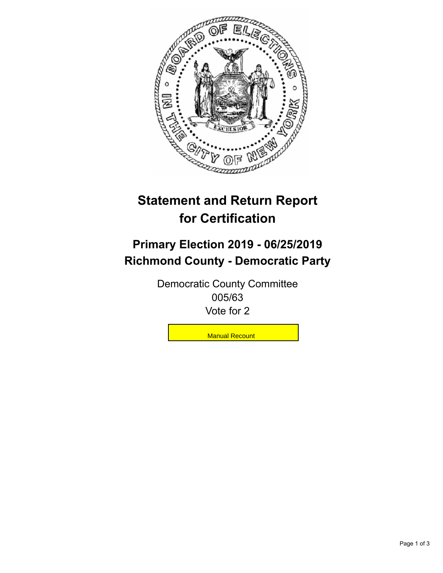

## **Statement and Return Report for Certification**

## **Primary Election 2019 - 06/25/2019 Richmond County - Democratic Party**

Democratic County Committee 005/63 Vote for 2

**Manual Recount**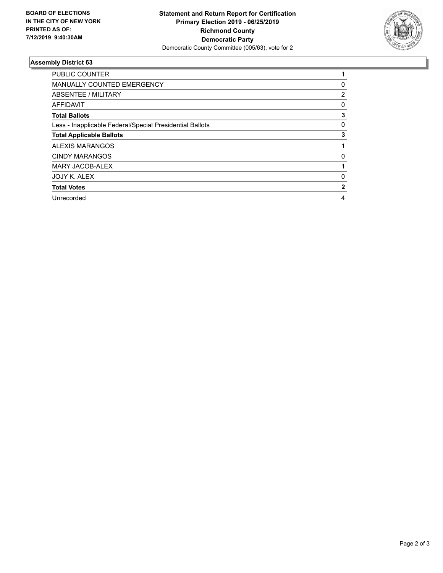

## **Assembly District 63**

| <b>PUBLIC COUNTER</b>                                    |   |
|----------------------------------------------------------|---|
| <b>MANUALLY COUNTED EMERGENCY</b>                        | 0 |
| ABSENTEE / MILITARY                                      | 2 |
| AFFIDAVIT                                                | 0 |
| <b>Total Ballots</b>                                     | 3 |
| Less - Inapplicable Federal/Special Presidential Ballots | 0 |
| <b>Total Applicable Ballots</b>                          | 3 |
| <b>ALEXIS MARANGOS</b>                                   |   |
| <b>CINDY MARANGOS</b>                                    | 0 |
| <b>MARY JACOB-ALEX</b>                                   |   |
| JOJY K. ALEX                                             | 0 |
| <b>Total Votes</b>                                       | 2 |
| Unrecorded                                               | 4 |